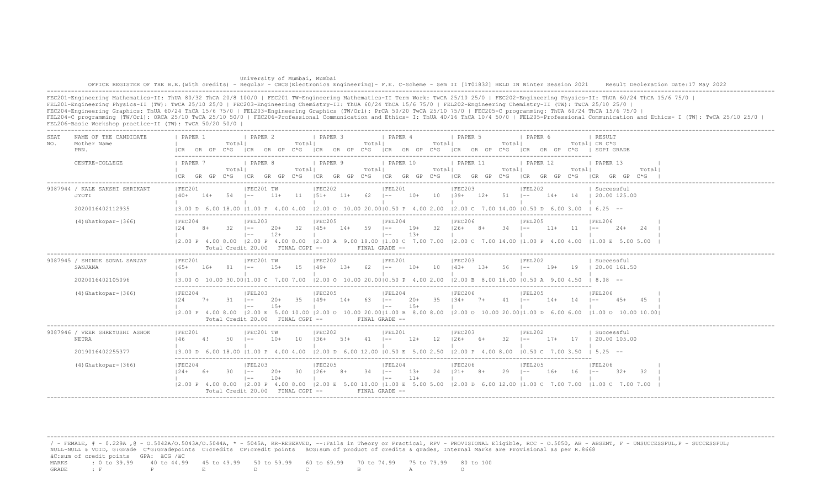University of Mumbai, Mumbai OFFICE REGISTER OF THE B.E.(with credits) - Regular - CBCS(Electronics Engineering)- F.E. C-Scheme - Sem II [1T01832] HELD IN Winter Session 2021 Result Decleration Date:17 May 2022 -------------------------------------------------------------------------------------------------------------------------------------------------------------------------------------------------------------------

FEC201-Engineering Mathematics-II: ThUA 80/32 ThCA 20/8 100/0 | FEC201 TW-Engineering Mathematics-II Term Work: TwCA 25/10 25/0 | FEC202-Engineering Physics-II: ThUA 60/24 ThCA 15/6 75/0 | FEL201-Engineering Physics-II (TW): TwCA 25/10 25/0 | FEC203-Engineering Chemistry-II: ThUA 60/24 ThCA 15/6 75/0 | FEL202-Engineering Chemistry-II (TW): TwCA 25/10 25/0 | FEC204-Engineering Graphics: ThUA 60/24 ThCA 15/6 75/0 | FEL203-Engineering Graphics (TW/Orl): PrCA 50/20 TwCA 25/10 75/0 | FEC205-C programming: ThUA 60/24 ThCA 15/6 75/0 | FEL204-C programming (TW/Orl): ORCA 25/10 TwCA 25/10 50/0 | FEC206-Professional Communication and Ethics- I: ThUA 40/16 ThCA 10/4 50/0 | FEL205-Professional Communication and Ethics- I (TW): TwCA 25/10 25/0 | FEL206-Basic Workshop practice-II (TW): TwCA 50/20 50/0 |

| SEA.<br>NO. | NAME OF THE CANDIDATE<br>Mother Name<br>PRN.                 | PAPER 1<br>I CR                                        | GR GP | Totall<br>$C * G$ | <b>I PAPER 2</b><br>ICR GR GP C*G                          |                     | Totall        | <b>I PAPER 3</b>  |        | Total                 | <i>I</i> PAPER 4<br>ICR GR GP C*G ICR GR GP C*G                  |                 | Totall | 1 PAPER 5<br>ICR GR GP C*G                                                                                                                                                            |        | Totall         | PAPER 6                     |       |                 | RESULT<br>Total  CR C*G<br>ICR GR GP C*G I SGPI GRADE                                                                                                                                      |        |  |
|-------------|--------------------------------------------------------------|--------------------------------------------------------|-------|-------------------|------------------------------------------------------------|---------------------|---------------|-------------------|--------|-----------------------|------------------------------------------------------------------|-----------------|--------|---------------------------------------------------------------------------------------------------------------------------------------------------------------------------------------|--------|----------------|-----------------------------|-------|-----------------|--------------------------------------------------------------------------------------------------------------------------------------------------------------------------------------------|--------|--|
|             | CENTRE-COLLEGE                                               | 1 PAPER 7<br>$ICR$ $GR$ $GP$ $C*G$                     |       | Totall            | I PAPER 8<br> CR                                           |                     | Totall        | PAPER 9           |        | Totall                | I PAPER 10                                                       |                 | Totall | <b>I PAPER 11</b><br>GR GP C*G ICR GR GP C*G ICR GR GP C*G ICR GR GP C*G                                                                                                              |        | Total          | 1 PAPER 12<br>ICR GR GP C*G |       | Total           | 1 PAPER 13<br>ICR GR GP C*G                                                                                                                                                                | Total  |  |
|             | 9087944 / KALE SAKSHI SHRIKANT<br>JYOTI                      | IFEC201<br>$140+$                                      | 14+   | 54 –              | IFEC201 TW                                                 | $11+$               | $11 \t 151+$  | FEC202            | 11+    | $62$ $1 - -$          | IFEL201                                                          | $10+$ 10 $139+$ |        | FEC203                                                                                                                                                                                |        | $12+ 51$ $1--$ | FEL202                      |       |                 | Successful<br>14+ 14   20.00 125.00                                                                                                                                                        |        |  |
|             | 2020016402112935<br>$(4) Ghatkopar-(366)$                    | 13.00 D 6.00 18.00 11.00 P 4.00 4.00<br>IFEC204<br>124 | $8+$  | $32 - 1 =$        | IFEL203<br>$1 - -$<br>Total Credit 20.00                   | $20+$ 32<br>$12+$   | FINAL CGPI -- | IFEC205           |        | $145+$ $14+$ 59 $1--$ | FEL204<br>$\vert - - \vert$<br>$FTNAI, GRADE =$                  | $1.3+$          |        | $(2.00 \circ 10.00 \cdot 20.00)(0.50 \circ P \cdot 4.00 \cdot 2.00 \cdot 12.00 \circ C \cdot 7.00 \cdot 14.00 \cdot 10.50 \cdot D \cdot 6.00 \cdot 3.00$<br>IFEC206<br>19+ 32 126+ 8+ |        | $34$ $1--$     | IFEL205                     |       | $11+$ $11$ $1-$ | $16.25 - -$<br><b>IFEL206</b><br>12.00 P 4.00 8.00 12.00 P 4.00 8.00 12.00 A 9.00 18.00 11.00 C 7.00 7.00 12.00 C 7.00 14.00 11.00 P 4.00 4.00 11.00 E 5.00 5.00                           | 24+ 24 |  |
|             | 9087945 / SHINDE SONAL SANJAY<br>SANJANA<br>2020016402105096 | IFEC201<br>$165+$<br>13.00 O 10.00 30.0011.00 C        | $16+$ |                   | IFEC201 TW                                                 | $1.5+$<br>7.00 7.00 | - 1.5         | IFEC202<br>149+   | $1.3+$ | 62                    | IFEL201<br>$1 - -$<br>$12.00$ O $10.00$ 20.0010.50 P $4.00$ 2.00 | $10+$           | 10     | IFEC203<br>$143+$<br>$12.00 B$ 8.00 16.00 10.50 A 9.00 4.50                                                                                                                           | $1.3+$ | 56.            | IFEL202<br>$1 - -$          | $19+$ | 19              | Successful<br>120.00161.50<br>$18.08 - -$                                                                                                                                                  |        |  |
|             | $(4) Ghatkopar-(366)$                                        | IFEC204<br>124                                         | $7+$  | $31 - 1 =$        | FEL203<br>$\vert - -$<br>Total Credit 20.00 FINAL CGPI --  | 20+<br>$15+$        | -35           | IFEC205<br>$149+$ | $14+$  | $63 \t - -$           | IFEL204<br>$1 - -$<br>FINAL GRADE --                             | 20+ 35<br>$15+$ |        | IFEC206<br>$134+7+$                                                                                                                                                                   |        | $41 - -$       | IFEL205                     | $14+$ | 14              | IFEL206<br>$1 - -$<br>$4.5+$<br>$[2.00\ P 4.00\ 8.00\ [2.00\ E 5.00\ 10.00\ [2.00\ O\ 10.00\ 20.00]1.00\ B\ 8.00\ 8.00\ [2.00\ O\ 10.00\ 20.00]1.00\ D\ 6.00\ 6.00\ [1.00\ O\ 10.00]1.00]$ | 4.5    |  |
|             | 9087946 / VEER SHREYUSHI ASHOK<br>NETRA<br>2019016402255377  | IFEC201<br>146<br>13.00 D 6.00 18.00 11.00 P 4.00 4.00 | 4!    | 50                | IFEC201 TW<br>$1 - -$                                      | $10+$               | 10            | IFEC202<br>$136+$ | $5!+$  | 41                    | IFEL201<br>$\vert - -$<br>12.00 D 6.00 12.00 10.50 E 5.00 2.50   | 12+             | 12     | IFEC203<br>$126+$ 6+<br>$12,00 \quad P \quad 4,00 \quad 8,00 \quad 10,50 \quad C \quad 7,00 \quad 3,50$                                                                               |        | 32             | FEL202<br>$1 - -$           | $17+$ | -17             | Successful<br>20.00 105.00<br>$1\,5.25 - -$                                                                                                                                                |        |  |
|             | $(4) Ghatkopar-(366)$                                        | ________________________<br> FEC204<br>$124+$          | 6+    | $30 \t - -$       | IFEL203<br>$\vert - -$<br>Total Credit 20.00 FINAL CGPI -- | 20+<br>$10+$        | - 30          | FEC205<br>$126+$  | $8+$   | $34$ $1--$            | FEL204<br>$\vert - - \vert$<br>FINAL GRADE --                    | $13+$<br>$11+$  | 24     | FEC206<br>$121+ 8+$                                                                                                                                                                   |        | 29             | IFEL205<br>$1 - -$          | 16+   | 16              | IFEL206<br>$1 - -$<br>$32+$<br>12.00 P 4.00 8.00 12.00 P 4.00 8.00 12.00 E 5.00 10.00 11.00 E 5.00 5.00 12.00 D 6.00 12.00 11.00 C 7.00 7.00 11.00 C 7.00 7.00 7.00                        |        |  |

 / - FEMALE, # - 0.229A ,@ - O.5042A/O.5043A/O.5044A, \* - 5045A, RR-RESERVED, --:Fails in Theory or Practical, RPV - PROVISIONAL Eligible, RCC - O.5050, AB - ABSENT, F - UNSUCCESSFUL,P - SUCCESSFUL; NULL-NULL & VOID, G:Grade C\*G:Gradepoints C:credits CP:credit points äCG:sum of product of credits & grades, Internal Marks are Provisional as per R.8668  $\texttt{AC: sum of credit points}$  GPA:  $\texttt{ACG}$  / $\texttt{ACC}$ <br>MARKS : 0 to 39.99 40 to 44.99 MARKS : 0 to 39.99 40 to 44.99 45 to 49.99 50 to 59.99 60 to 69.99 70 to 74.99 75 to 79.99 80 to 100 GRADE : F P E D C B A O

-------------------------------------------------------------------------------------------------------------------------------------------------------------------------------------------------------------------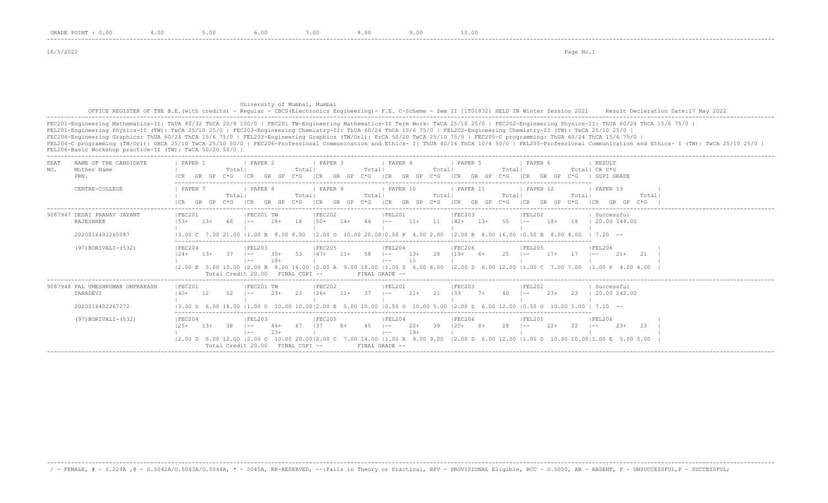16/5/2022 Page No.1

## University of Mumbai, Mumbai OFFICE REGISTER OF THE B.E.(with credits) - Regular - CBCS(Electronics Engineering)- F.E. C-Scheme - Sem II [1T01832] HELD IN Winter Session 2021 Result Decleration Date:17 May 2022 -------------------------------------------------------------------------------------------------------------------------------------------------------------------------------------------------------------------

FEC201-Engineering Mathematics-II: ThUA 80/32 ThCA 20/8 100/0 | FEC201 TW-Engineering Mathematics-II Term Work: TwCA 25/10 25/0 | FEC202-Engineering Physics-II: ThUA 60/24 ThCA 15/6 75/0 | FEL201-Engineering Physics-II (TW): TwCA 25/10 25/0 | FEC203-Engineering Chemistry-II: ThUA 60/24 ThCA 15/6 75/0 | FEL202-Engineering Chemistry-II (TW): TwCA 25/10 25/0 | FEC204-Engineering Graphics: ThUA 60/24 ThCA 15/6 75/0 | FEL203-Engineering Graphics (TW/Orl): PrCA 50/20 TwCA 25/10 75/0 | FEC205-C programming: ThUA 60/24 ThCA 15/6 75/0 | FEL204-C programming (TW/Orl): ORCA 25/10 TwCA 25/10 50/0 | FEC206-Professional Communication and Ethics- I: ThUA 40/16 ThCA 10/4 50/0 | FEL205-Professional Communication and Ethics- I (TW): TwCA 25/10 25/0 | FEL206-Basic Workshop practice-II (TW): TwCA 50/20 50/0 |

-------------------------------------------------------------------------------------------------------------------------------------------------------------------------------------------------------------------

| <b>SEAT</b><br>NO. | NAME OF THE CANDIDATE<br>Mother Name<br>PRN.                                            | PAPER 1<br>Total<br>$C*G$<br>GR<br>GP.                                                                    | PAPER 2<br>Totall<br> CR<br>C*G<br>GR<br>GP                                                                               | PAPER 3<br>Total<br>ICR<br>GP<br>$C*G$<br>GR         | PAPER 4<br>Total<br> CR<br>GR<br>$C*G$<br>GP                                                              | PAPER 5<br>Total<br>ICR<br>GP <sub>1</sub><br>$C * G$<br>ICR<br>GR                                                                                                                                                                                                                                                                                                   | PAPER 6<br>Total  CR C*G<br>$C*G$<br>GR<br>GP | RESULT<br>SGPI GRADE                                                    |
|--------------------|-----------------------------------------------------------------------------------------|-----------------------------------------------------------------------------------------------------------|---------------------------------------------------------------------------------------------------------------------------|------------------------------------------------------|-----------------------------------------------------------------------------------------------------------|----------------------------------------------------------------------------------------------------------------------------------------------------------------------------------------------------------------------------------------------------------------------------------------------------------------------------------------------------------------------|-----------------------------------------------|-------------------------------------------------------------------------|
|                    | CENTRE-COLLEGE                                                                          | PAPER<br>Total<br>ገ* ና                                                                                    | PAPER 8<br>Total<br>ገ* ና                                                                                                  | PAPER 9<br>Total<br>TCR<br>$C*G$<br>GR.              | PAPER 10<br>Total<br>ICR<br>GR.<br>$C*G$<br>GP.                                                           | PAPER 11<br>Total<br>GP<br>$C \star G$<br>ICR<br>GR.                                                                                                                                                                                                                                                                                                                 | PAPER 12<br>Total<br>$C * G$                  | PAPER 13<br>Total                                                       |
|                    | 9087947 DESAI PRANAV JAYANT<br>RAJESHREE<br>2020016402265087<br>(97) BORIVALI-(532)     | FEC201<br>$15.3+$<br>$13+$<br>13.00 C 7.00 21.00<br> FEC204<br>$12.4 +$<br>$1.3+$<br>Total Credit 20.00   | FEC201 TW<br>18<br>$18+$<br>11.00 B 8.00 8.00<br> FEL203<br>$3.5+$<br>-53<br>$1 - -$<br>$18+$<br>$1 - -$<br>FINAL CGPI -- | FEC202<br>$150+$<br> FEC205<br>$147+$<br>58<br>$11+$ | FEL201<br>$11 +$<br>11<br>l ——<br> FEL204<br>$13+$<br>-28<br>$1 - -$<br>1.5<br>$- -$<br>FINAL GRADE --    | FEL202<br> FEC203<br>$1.3+$<br>55<br>$142+$<br>l ——<br>$ 2.00 \t{0} 10.00 \t{20.00}  0.50 \t{P} 4.00 \t{2.00} 12.00 \t{B} 8.00 \t{16.00}  0.50 \t{B} 8.00 \t{4.00}$<br><b>IFEC206</b><br> FEL205<br>$119+ 6+$<br>2.5<br>l ——<br> 2.00 E 5.00 10.00  2.00 B 8.00 16.00  2.00 A 9.00 18.00  1.00 D 6.00 6.00  2.00 D 6.00 12.00  1.00 C 7.00 7.00  1.00 P 4.00 4.00    | $18+$<br>18<br>$17+$<br>-17<br>$- -$          | Successful<br>20.00 144.00<br>$1, 7, 20$ $-$<br>IFEL206<br>$21+$<br>-21 |
|                    | 9087948 PAL UMESHKUMAR OMPRAKASH<br>TARADEVI<br>2020016402267272<br>(97) BORIVALI-(532) | IFEC201<br>52<br>$140+$<br>$13.00$ D 6.00 18.00<br>IFEC204<br>38<br>$13+$<br>$125+$<br>Total Credit 20.00 | IFEC201 TW<br>$2.3+$<br>- 23<br>$1 - -$<br>IFEL203<br>$1 - -$<br>$2.3+$<br>$1 - -$<br>FINAL CGPI --                       | IFEC202<br>37<br>$126+$<br>$11+$<br>IFEC205<br>137   | IFEL201<br>$21+$<br>21<br>$- -$<br>IFEL204<br>39<br>$20+$<br>$\sim$<br>$19+$<br>$1 - -$<br>FINAL GRADE -- | <b>IFEC203</b><br><b>IFEL202</b><br>133<br>$7+$<br>l ——<br>$11.00$ o 10.00 10.0012.00 E 5.00 10.00 10.50 o 10.00 5.00 12.00 D 6.00 12.00 10.50 o 10.00 5.00 1 7.10 --<br><b>IFEC206</b><br>IFEL205<br>$120+$ 8+<br>28<br>$- -$<br> 2.00 D 6.00 12.00  2.00 O 10.00 20.00 2.00 C 7.00 14.00  1.00 A 9.00 9.00  2.00 D 6.00 12.00  1.00 O 10.00 10.00 1.00 E 5.00 5.00 | $2.3+$<br>23<br>$22+$<br>22<br>$- -$          | Successful<br>20.00 142.00<br><b>IFEL206</b><br>23<br>$23+$             |

-------------------------------------------------------------------------------------------------------------------------------------------------------------------------------------------------------------------